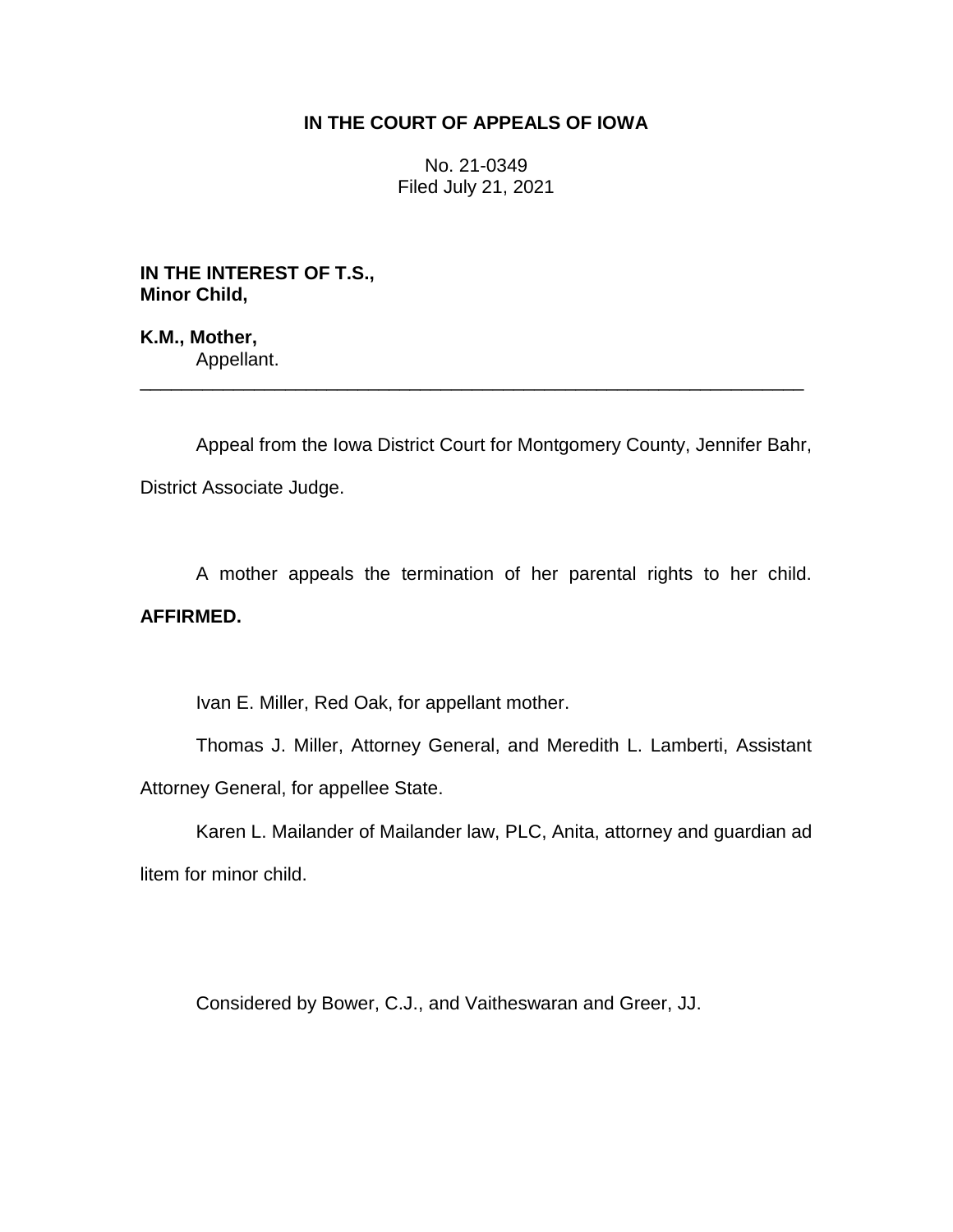## **IN THE COURT OF APPEALS OF IOWA**

No. 21-0349 Filed July 21, 2021

**IN THE INTEREST OF T.S., Minor Child,**

**K.M., Mother,** Appellant.

Appeal from the Iowa District Court for Montgomery County, Jennifer Bahr, District Associate Judge.

\_\_\_\_\_\_\_\_\_\_\_\_\_\_\_\_\_\_\_\_\_\_\_\_\_\_\_\_\_\_\_\_\_\_\_\_\_\_\_\_\_\_\_\_\_\_\_\_\_\_\_\_\_\_\_\_\_\_\_\_\_\_\_\_

A mother appeals the termination of her parental rights to her child. **AFFIRMED.**

Ivan E. Miller, Red Oak, for appellant mother.

Thomas J. Miller, Attorney General, and Meredith L. Lamberti, Assistant Attorney General, for appellee State.

Karen L. Mailander of Mailander law, PLC, Anita, attorney and guardian ad litem for minor child.

Considered by Bower, C.J., and Vaitheswaran and Greer, JJ.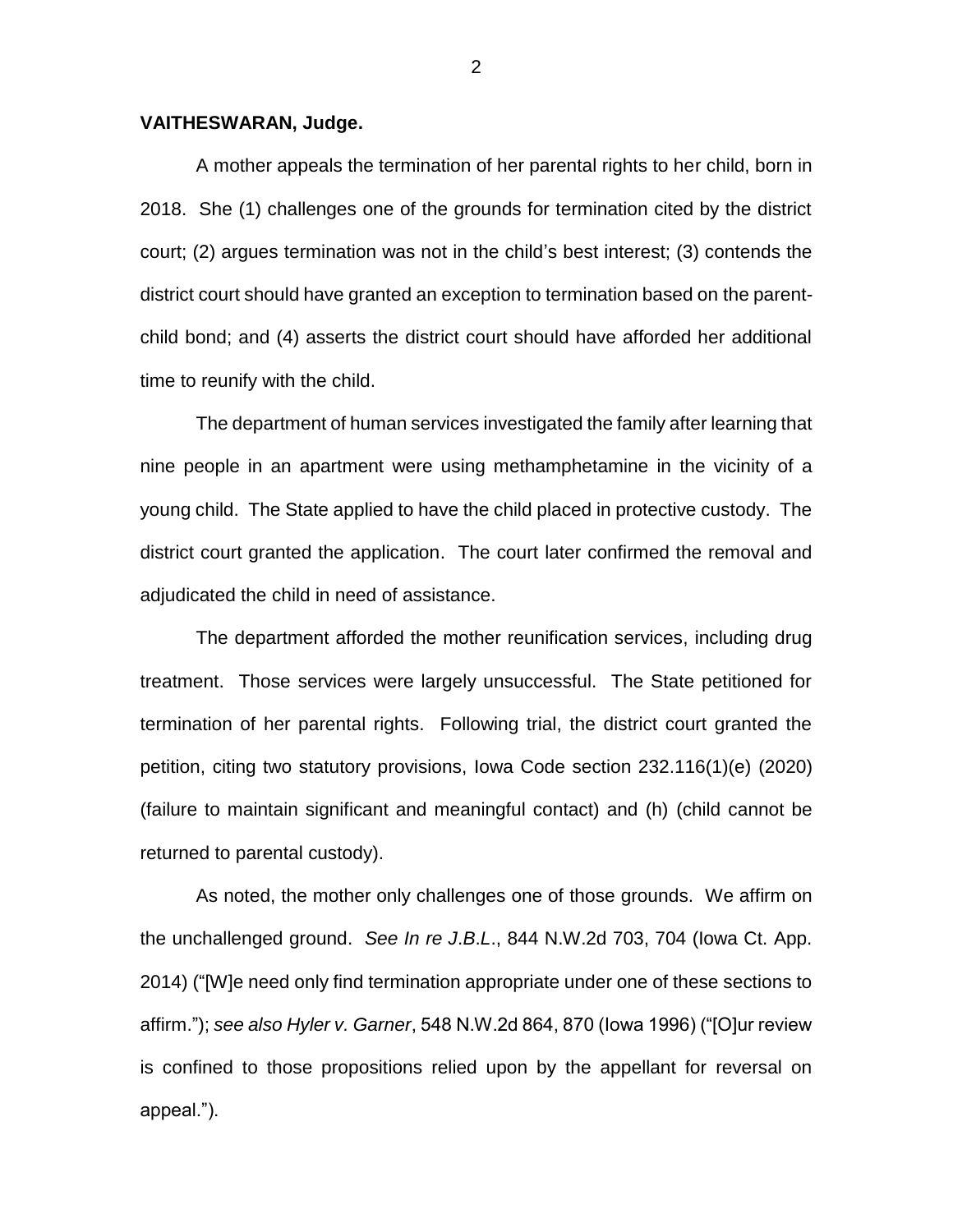## **VAITHESWARAN, Judge.**

A mother appeals the termination of her parental rights to her child, born in 2018. She (1) challenges one of the grounds for termination cited by the district court; (2) argues termination was not in the child's best interest; (3) contends the district court should have granted an exception to termination based on the parentchild bond; and (4) asserts the district court should have afforded her additional time to reunify with the child.

The department of human services investigated the family after learning that nine people in an apartment were using methamphetamine in the vicinity of a young child. The State applied to have the child placed in protective custody. The district court granted the application. The court later confirmed the removal and adjudicated the child in need of assistance.

The department afforded the mother reunification services, including drug treatment. Those services were largely unsuccessful. The State petitioned for termination of her parental rights. Following trial, the district court granted the petition, citing two statutory provisions, Iowa Code section 232.116(1)(e) (2020) (failure to maintain significant and meaningful contact) and (h) (child cannot be returned to parental custody).

As noted, the mother only challenges one of those grounds. We affirm on the unchallenged ground. *See In re J*.*B*.*L*., 844 N.W.2d 703, 704 (Iowa Ct. App. 2014) ("[W]e need only find termination appropriate under one of these sections to affirm."); *see also Hyler v. Garner*, 548 N.W.2d 864, 870 (Iowa 1996) ("[O]ur review is confined to those propositions relied upon by the appellant for reversal on appeal.").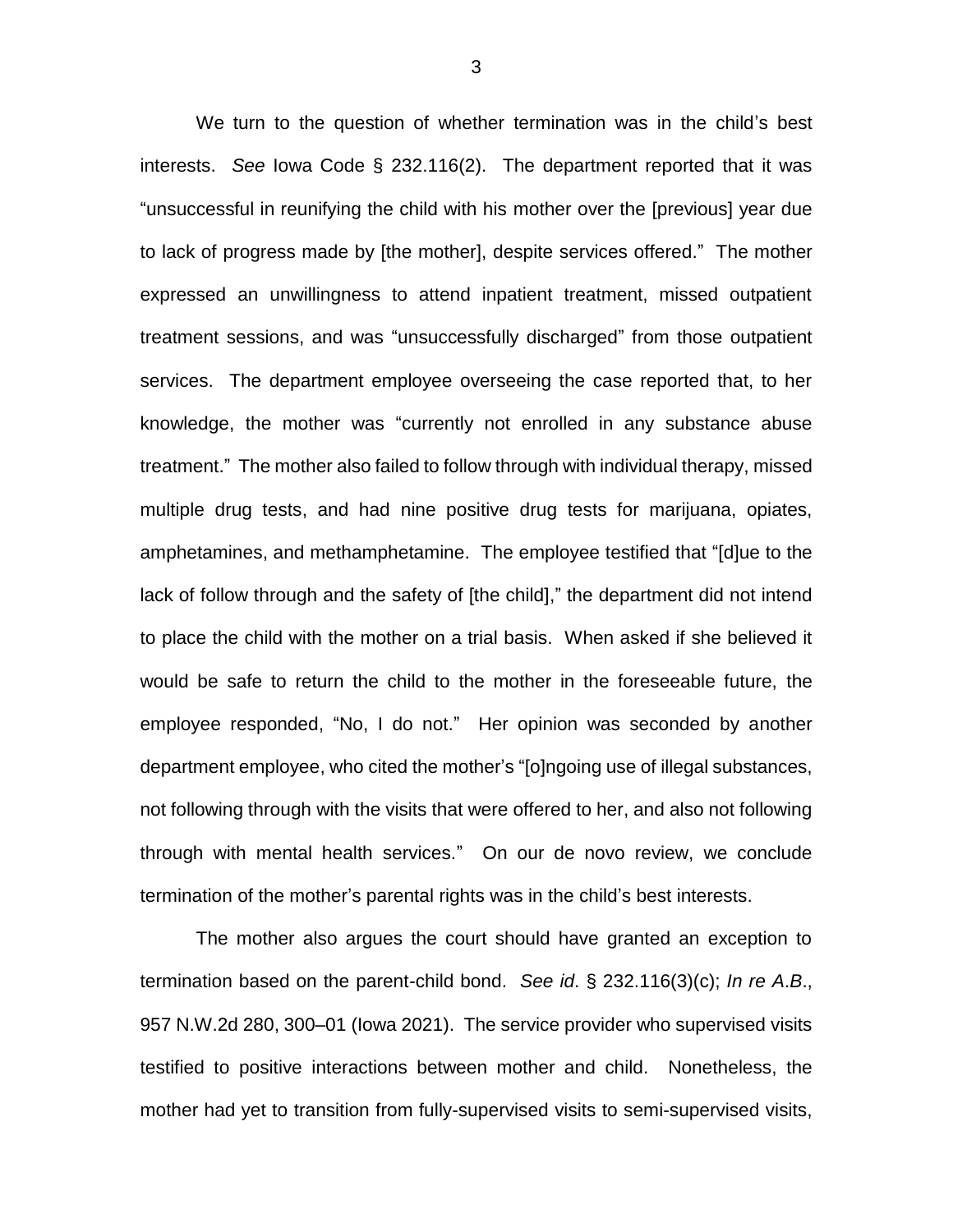We turn to the question of whether termination was in the child's best interests. *See* Iowa Code § 232.116(2). The department reported that it was "unsuccessful in reunifying the child with his mother over the [previous] year due to lack of progress made by [the mother], despite services offered." The mother expressed an unwillingness to attend inpatient treatment, missed outpatient treatment sessions, and was "unsuccessfully discharged" from those outpatient services. The department employee overseeing the case reported that, to her knowledge, the mother was "currently not enrolled in any substance abuse treatment." The mother also failed to follow through with individual therapy, missed multiple drug tests, and had nine positive drug tests for marijuana, opiates, amphetamines, and methamphetamine. The employee testified that "[d]ue to the lack of follow through and the safety of [the child]," the department did not intend to place the child with the mother on a trial basis. When asked if she believed it would be safe to return the child to the mother in the foreseeable future, the employee responded, "No, I do not." Her opinion was seconded by another department employee, who cited the mother's "[o]ngoing use of illegal substances, not following through with the visits that were offered to her, and also not following through with mental health services." On our de novo review, we conclude termination of the mother's parental rights was in the child's best interests.

The mother also argues the court should have granted an exception to termination based on the parent-child bond. *See id*. § 232.116(3)(c); *In re A*.*B*., 957 N.W.2d 280, 300–01 (Iowa 2021). The service provider who supervised visits testified to positive interactions between mother and child. Nonetheless, the mother had yet to transition from fully-supervised visits to semi-supervised visits,

3